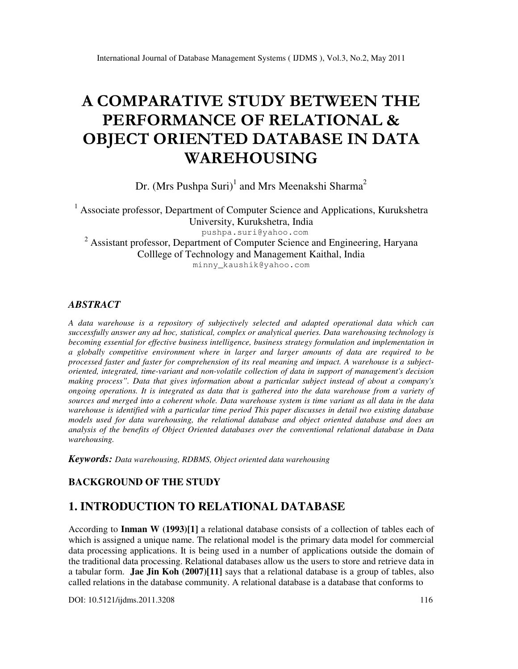# A COMPARATIVE STUDY BETWEEN THE PERFORMANCE OF RELATIONAL & OBJECT ORIENTED DATABASE IN DATA WAREHOUSING

Dr. (Mrs Pushpa Suri)<sup>1</sup> and Mrs Meenakshi Sharma<sup>2</sup>

<sup>1</sup> Associate professor, Department of Computer Science and Applications, Kurukshetra University, Kurukshetra, India pushpa.suri@yahoo.com <sup>2</sup> Assistant professor, Department of Computer Science and Engineering, Haryana Colllege of Technology and Management Kaithal, India minny\_kaushik@yahoo.com

### *ABSTRACT*

*A data warehouse is a repository of subjectively selected and adapted operational data which can successfully answer any ad hoc, statistical, complex or analytical queries. Data warehousing technology is becoming essential for effective business intelligence, business strategy formulation and implementation in a globally competitive environment where in larger and larger amounts of data are required to be processed faster and faster for comprehension of its real meaning and impact. A warehouse is a subjectoriented, integrated, time-variant and non-volatile collection of data in support of management's decision making process". Data that gives information about a particular subject instead of about a company's ongoing operations. It is integrated as data that is gathered into the data warehouse from a variety of sources and merged into a coherent whole. Data warehouse system is time variant as all data in the data warehouse is identified with a particular time period This paper discusses in detail two existing database models used for data warehousing, the relational database and object oriented database and does an analysis of the benefits of Object Oriented databases over the conventional relational database in Data warehousing.* 

*Keywords: Data warehousing, RDBMS, Object oriented data warehousing* 

### **BACKGROUND OF THE STUDY**

### **1. INTRODUCTION TO RELATIONAL DATABASE**

According to **Inman W (1993)[1]** a relational database consists of a collection of tables each of which is assigned a unique name. The relational model is the primary data model for commercial data processing applications. It is being used in a number of applications outside the domain of the traditional data processing. Relational databases allow us the users to store and retrieve data in a tabular form. **Jae Jin Koh (2007)[11]** says that a relational database is a group of tables, also called relations in the database community. A relational database is a database that conforms to

DOI: 10.5121/ijdms.2011.3208 116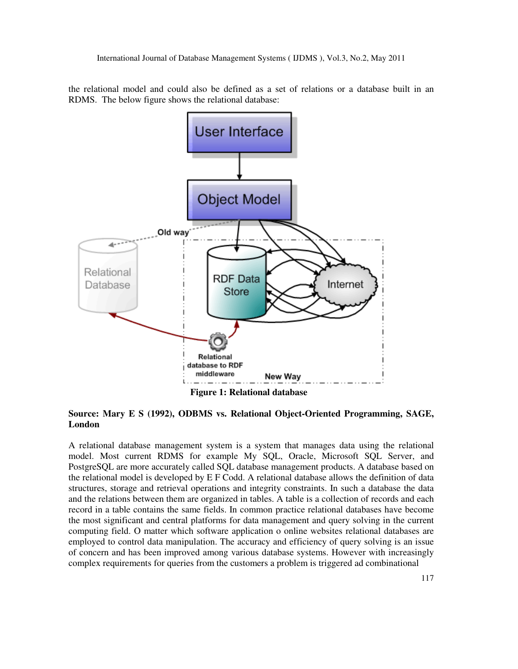the relational model and could also be defined as a set of relations or a database built in an RDMS. The below figure shows the relational database:



### **Source: Mary E S (1992), ODBMS vs. Relational Object-Oriented Programming, SAGE, London**

A relational database management system is a system that manages data using the relational model. Most current RDMS for example My SQL, Oracle, Microsoft SQL Server, and PostgreSQL are more accurately called SQL database management products. A database based on the relational model is developed by E F Codd. A relational database allows the definition of data structures, storage and retrieval operations and integrity constraints. In such a database the data and the relations between them are organized in tables. A table is a collection of records and each record in a table contains the same fields. In common practice relational databases have become the most significant and central platforms for data management and query solving in the current computing field. O matter which software application o online websites relational databases are employed to control data manipulation. The accuracy and efficiency of query solving is an issue of concern and has been improved among various database systems. However with increasingly complex requirements for queries from the customers a problem is triggered ad combinational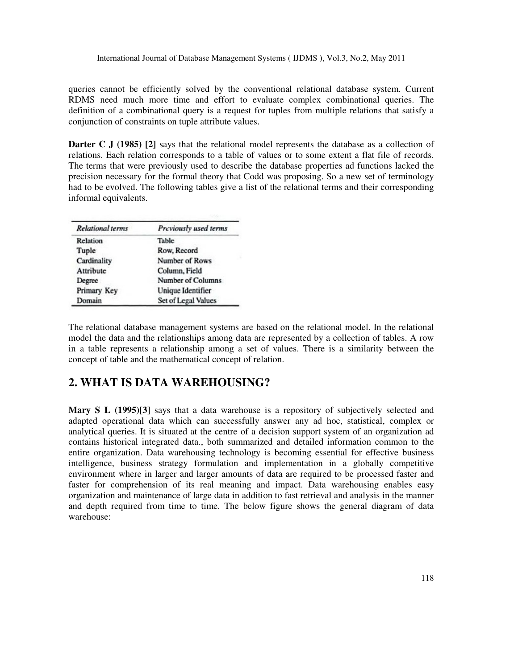queries cannot be efficiently solved by the conventional relational database system. Current RDMS need much more time and effort to evaluate complex combinational queries. The definition of a combinational query is a request for tuples from multiple relations that satisfy a conjunction of constraints on tuple attribute values.

**Darter C J (1985)** [2] says that the relational model represents the database as a collection of relations. Each relation corresponds to a table of values or to some extent a flat file of records. The terms that were previously used to describe the database properties ad functions lacked the precision necessary for the formal theory that Codd was proposing. So a new set of terminology had to be evolved. The following tables give a list of the relational terms and their corresponding informal equivalents.

| <b>Relational terms</b> | Previously used terms |
|-------------------------|-----------------------|
| Relation                | Table                 |
| Tuple                   | Row, Record           |
| Cardinality             | Number of Rows        |
| Attribute               | Column, Field         |
| Degree                  | Number of Columns     |
| Primary Key             | Unique Identifier     |
| Domain                  | Set of Legal Values   |

The relational database management systems are based on the relational model. In the relational model the data and the relationships among data are represented by a collection of tables. A row in a table represents a relationship among a set of values. There is a similarity between the concept of table and the mathematical concept of relation.

## **2. WHAT IS DATA WAREHOUSING?**

**Mary S L (1995)[3]** says that a data warehouse is a repository of subjectively selected and adapted operational data which can successfully answer any ad hoc, statistical, complex or analytical queries. It is situated at the centre of a decision support system of an organization ad contains historical integrated data., both summarized and detailed information common to the entire organization. Data warehousing technology is becoming essential for effective business intelligence, business strategy formulation and implementation in a globally competitive environment where in larger and larger amounts of data are required to be processed faster and faster for comprehension of its real meaning and impact. Data warehousing enables easy organization and maintenance of large data in addition to fast retrieval and analysis in the manner and depth required from time to time. The below figure shows the general diagram of data warehouse: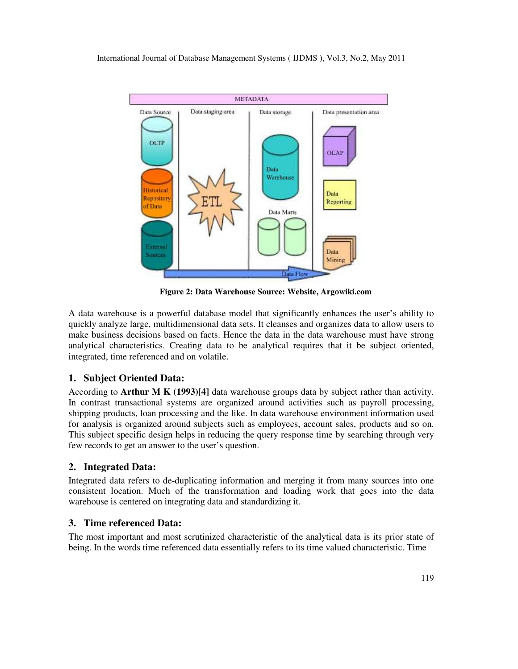

**Figure 2: Data Warehouse Source: Website, Argowiki.com** 

A data warehouse is a powerful database model that significantly enhances the user's ability to quickly analyze large, multidimensional data sets. It cleanses and organizes data to allow users to make business decisions based on facts. Hence the data in the data warehouse must have strong analytical characteristics. Creating data to be analytical requires that it be subject oriented, integrated, time referenced and on volatile.

### **1. Subject Oriented Data:**

According to **Arthur M K (1993)[4]** data warehouse groups data by subject rather than activity. In contrast transactional systems are organized around activities such as payroll processing, shipping products, loan processing and the like. In data warehouse environment information used for analysis is organized around subjects such as employees, account sales, products and so on. This subject specific design helps in reducing the query response time by searching through very few records to get an answer to the user's question.

### **2. Integrated Data:**

Integrated data refers to de-duplicating information and merging it from many sources into one consistent location. Much of the transformation and loading work that goes into the data warehouse is centered on integrating data and standardizing it.

### **3. Time referenced Data:**

The most important and most scrutinized characteristic of the analytical data is its prior state of being. In the words time referenced data essentially refers to its time valued characteristic. Time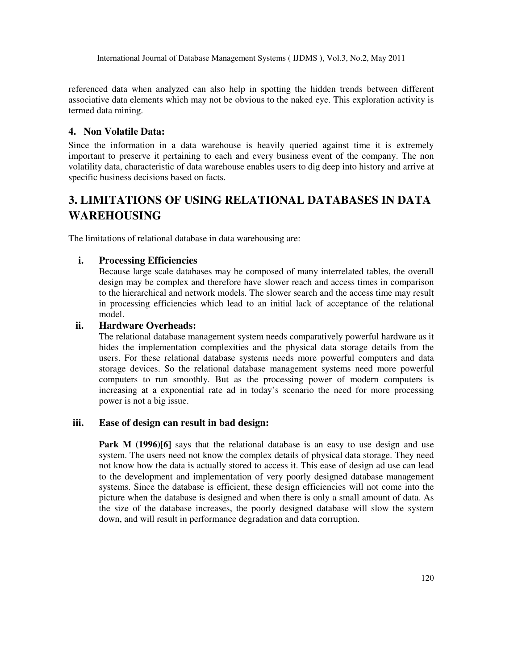referenced data when analyzed can also help in spotting the hidden trends between different associative data elements which may not be obvious to the naked eye. This exploration activity is termed data mining.

### **4. Non Volatile Data:**

Since the information in a data warehouse is heavily queried against time it is extremely important to preserve it pertaining to each and every business event of the company. The non volatility data, characteristic of data warehouse enables users to dig deep into history and arrive at specific business decisions based on facts.

# **3. LIMITATIONS OF USING RELATIONAL DATABASES IN DATA WAREHOUSING**

The limitations of relational database in data warehousing are:

### **i. Processing Efficiencies**

Because large scale databases may be composed of many interrelated tables, the overall design may be complex and therefore have slower reach and access times in comparison to the hierarchical and network models. The slower search and the access time may result in processing efficiencies which lead to an initial lack of acceptance of the relational model.

### **ii. Hardware Overheads:**

The relational database management system needs comparatively powerful hardware as it hides the implementation complexities and the physical data storage details from the users. For these relational database systems needs more powerful computers and data storage devices. So the relational database management systems need more powerful computers to run smoothly. But as the processing power of modern computers is increasing at a exponential rate ad in today's scenario the need for more processing power is not a big issue.

### **iii. Ease of design can result in bad design:**

**Park M (1996)[6]** says that the relational database is an easy to use design and use system. The users need not know the complex details of physical data storage. They need not know how the data is actually stored to access it. This ease of design ad use can lead to the development and implementation of very poorly designed database management systems. Since the database is efficient, these design efficiencies will not come into the picture when the database is designed and when there is only a small amount of data. As the size of the database increases, the poorly designed database will slow the system down, and will result in performance degradation and data corruption.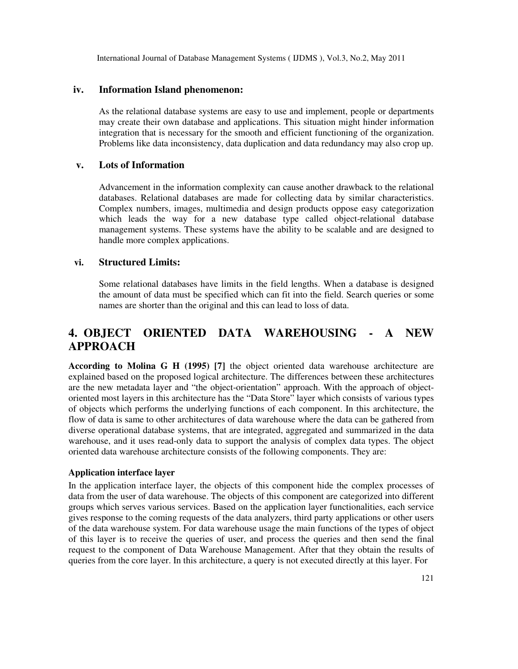### **iv. Information Island phenomenon:**

As the relational database systems are easy to use and implement, people or departments may create their own database and applications. This situation might hinder information integration that is necessary for the smooth and efficient functioning of the organization. Problems like data inconsistency, data duplication and data redundancy may also crop up.

### **v. Lots of Information**

Advancement in the information complexity can cause another drawback to the relational databases. Relational databases are made for collecting data by similar characteristics. Complex numbers, images, multimedia and design products oppose easy categorization which leads the way for a new database type called object-relational database management systems. These systems have the ability to be scalable and are designed to handle more complex applications.

### **vi. Structured Limits:**

Some relational databases have limits in the field lengths. When a database is designed the amount of data must be specified which can fit into the field. Search queries or some names are shorter than the original and this can lead to loss of data.

### **4. OBJECT ORIENTED DATA WAREHOUSING - A NEW APPROACH**

**According to Molina G H (1995) [7]** the object oriented data warehouse architecture are explained based on the proposed logical architecture. The differences between these architectures are the new metadata layer and "the object-orientation" approach. With the approach of objectoriented most layers in this architecture has the "Data Store" layer which consists of various types of objects which performs the underlying functions of each component. In this architecture, the flow of data is same to other architectures of data warehouse where the data can be gathered from diverse operational database systems, that are integrated, aggregated and summarized in the data warehouse, and it uses read-only data to support the analysis of complex data types. The object oriented data warehouse architecture consists of the following components. They are:

### **Application interface layer**

In the application interface layer, the objects of this component hide the complex processes of data from the user of data warehouse. The objects of this component are categorized into different groups which serves various services. Based on the application layer functionalities, each service gives response to the coming requests of the data analyzers, third party applications or other users of the data warehouse system. For data warehouse usage the main functions of the types of object of this layer is to receive the queries of user, and process the queries and then send the final request to the component of Data Warehouse Management. After that they obtain the results of queries from the core layer. In this architecture, a query is not executed directly at this layer. For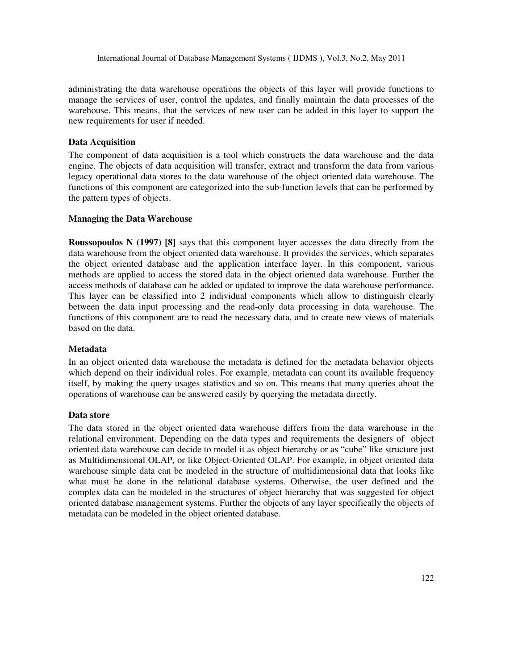administrating the data warehouse operations the objects of this layer will provide functions to manage the services of user, control the updates, and finally maintain the data processes of the warehouse. This means, that the services of new user can be added in this layer to support the new requirements for user if needed.

### **Data Acquisition**

The component of data acquisition is a tool which constructs the data warehouse and the data engine. The objects of data acquisition will transfer, extract and transform the data from various legacy operational data stores to the data warehouse of the object oriented data warehouse. The functions of this component are categorized into the sub-function levels that can be performed by the pattern types of objects.

#### **Managing the Data Warehouse**

**Roussopoulos N (1997) [8]** says that this component layer accesses the data directly from the data warehouse from the object oriented data warehouse. It provides the services, which separates the object oriented database and the application interface layer. In this component, various methods are applied to access the stored data in the object oriented data warehouse. Further the access methods of database can be added or updated to improve the data warehouse performance. This layer can be classified into 2 individual components which allow to distinguish clearly between the data input processing and the read-only data processing in data warehouse. The functions of this component are to read the necessary data, and to create new views of materials based on the data.

#### **Metadata**

In an object oriented data warehouse the metadata is defined for the metadata behavior objects which depend on their individual roles. For example, metadata can count its available frequency itself, by making the query usages statistics and so on. This means that many queries about the operations of warehouse can be answered easily by querying the metadata directly.

#### **Data store**

The data stored in the object oriented data warehouse differs from the data warehouse in the relational environment. Depending on the data types and requirements the designers of object oriented data warehouse can decide to model it as object hierarchy or as "cube" like structure just as Multidimensional OLAP, or like Object-Oriented OLAP. For example, in object oriented data warehouse simple data can be modeled in the structure of multidimensional data that looks like what must be done in the relational database systems. Otherwise, the user defined and the complex data can be modeled in the structures of object hierarchy that was suggested for object oriented database management systems. Further the objects of any layer specifically the objects of metadata can be modeled in the object oriented database.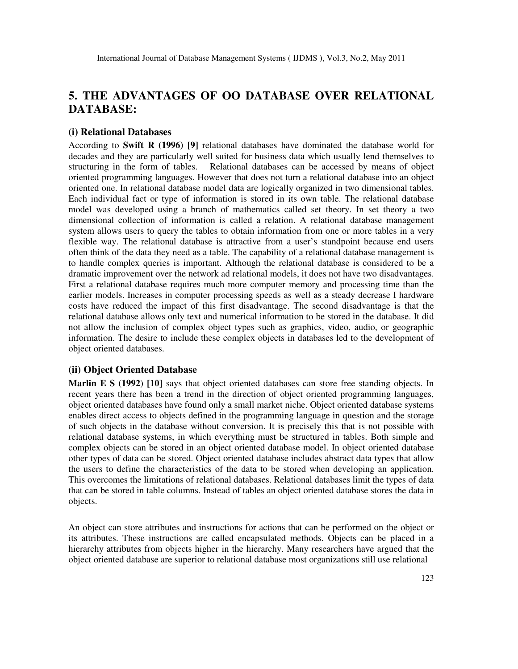### **5. THE ADVANTAGES OF OO DATABASE OVER RELATIONAL DATABASE:**

### **(i) Relational Databases**

According to **Swift R (1996) [9]** relational databases have dominated the database world for decades and they are particularly well suited for business data which usually lend themselves to structuring in the form of tables. Relational databases can be accessed by means of object oriented programming languages. However that does not turn a relational database into an object oriented one. In relational database model data are logically organized in two dimensional tables. Each individual fact or type of information is stored in its own table. The relational database model was developed using a branch of mathematics called set theory. In set theory a two dimensional collection of information is called a relation. A relational database management system allows users to query the tables to obtain information from one or more tables in a very flexible way. The relational database is attractive from a user's standpoint because end users often think of the data they need as a table. The capability of a relational database management is to handle complex queries is important. Although the relational database is considered to be a dramatic improvement over the network ad relational models, it does not have two disadvantages. First a relational database requires much more computer memory and processing time than the earlier models. Increases in computer processing speeds as well as a steady decrease I hardware costs have reduced the impact of this first disadvantage. The second disadvantage is that the relational database allows only text and numerical information to be stored in the database. It did not allow the inclusion of complex object types such as graphics, video, audio, or geographic information. The desire to include these complex objects in databases led to the development of object oriented databases.

#### **(ii) Object Oriented Database**

**Marlin E S (1992**) **[10]** says that object oriented databases can store free standing objects. In recent years there has been a trend in the direction of object oriented programming languages, object oriented databases have found only a small market niche. Object oriented database systems enables direct access to objects defined in the programming language in question and the storage of such objects in the database without conversion. It is precisely this that is not possible with relational database systems, in which everything must be structured in tables. Both simple and complex objects can be stored in an object oriented database model. In object oriented database other types of data can be stored. Object oriented database includes abstract data types that allow the users to define the characteristics of the data to be stored when developing an application. This overcomes the limitations of relational databases. Relational databases limit the types of data that can be stored in table columns. Instead of tables an object oriented database stores the data in objects.

An object can store attributes and instructions for actions that can be performed on the object or its attributes. These instructions are called encapsulated methods. Objects can be placed in a hierarchy attributes from objects higher in the hierarchy. Many researchers have argued that the object oriented database are superior to relational database most organizations still use relational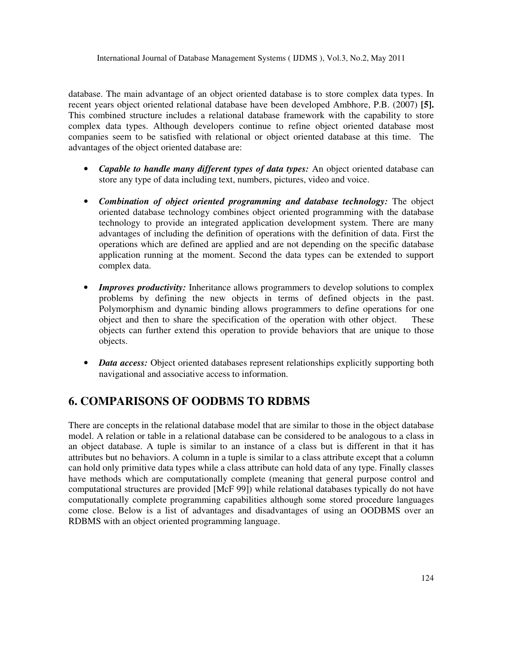database. The main advantage of an object oriented database is to store complex data types. In recent years object oriented relational database have been developed Ambhore, P.B. (2007) **[5].** This combined structure includes a relational database framework with the capability to store complex data types. Although developers continue to refine object oriented database most companies seem to be satisfied with relational or object oriented database at this time. The advantages of the object oriented database are:

- *Capable to handle many different types of data types:* An object oriented database can store any type of data including text, numbers, pictures, video and voice.
- *Combination of object oriented programming and database technology:* The object oriented database technology combines object oriented programming with the database technology to provide an integrated application development system. There are many advantages of including the definition of operations with the definition of data. First the operations which are defined are applied and are not depending on the specific database application running at the moment. Second the data types can be extended to support complex data.
- *Improves productivity:* Inheritance allows programmers to develop solutions to complex problems by defining the new objects in terms of defined objects in the past. Polymorphism and dynamic binding allows programmers to define operations for one object and then to share the specification of the operation with other object. These objects can further extend this operation to provide behaviors that are unique to those objects.
- *Data access:* Object oriented databases represent relationships explicitly supporting both navigational and associative access to information.

### **6. COMPARISONS OF OODBMS TO RDBMS**

There are concepts in the relational database model that are similar to those in the object database model. A relation or table in a relational database can be considered to be analogous to a class in an object database. A tuple is similar to an instance of a class but is different in that it has attributes but no behaviors. A column in a tuple is similar to a class attribute except that a column can hold only primitive data types while a class attribute can hold data of any type. Finally classes have methods which are computationally complete (meaning that general purpose control and computational structures are provided [McF 99]) while relational databases typically do not have computationally complete programming capabilities although some stored procedure languages come close. Below is a list of advantages and disadvantages of using an OODBMS over an RDBMS with an object oriented programming language.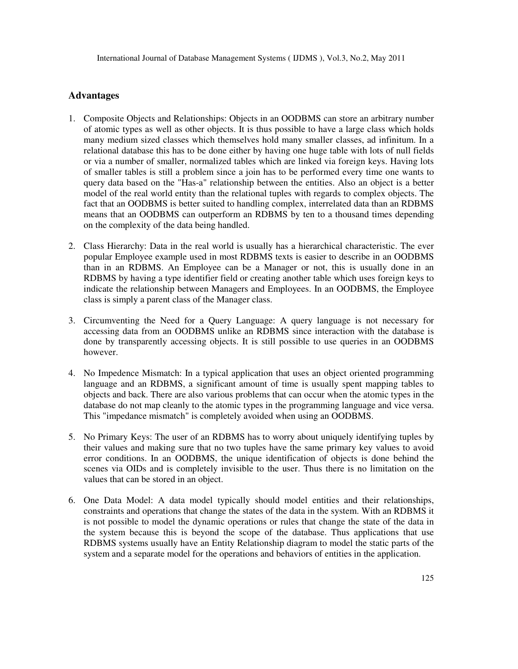### **Advantages**

- 1. Composite Objects and Relationships: Objects in an OODBMS can store an arbitrary number of atomic types as well as other objects. It is thus possible to have a large class which holds many medium sized classes which themselves hold many smaller classes, ad infinitum. In a relational database this has to be done either by having one huge table with lots of null fields or via a number of smaller, normalized tables which are linked via foreign keys. Having lots of smaller tables is still a problem since a join has to be performed every time one wants to query data based on the "Has-a" relationship between the entities. Also an object is a better model of the real world entity than the relational tuples with regards to complex objects. The fact that an OODBMS is better suited to handling complex, interrelated data than an RDBMS means that an OODBMS can outperform an RDBMS by ten to a thousand times depending on the complexity of the data being handled.
- 2. Class Hierarchy: Data in the real world is usually has a hierarchical characteristic. The ever popular Employee example used in most RDBMS texts is easier to describe in an OODBMS than in an RDBMS. An Employee can be a Manager or not, this is usually done in an RDBMS by having a type identifier field or creating another table which uses foreign keys to indicate the relationship between Managers and Employees. In an OODBMS, the Employee class is simply a parent class of the Manager class.
- 3. Circumventing the Need for a Query Language: A query language is not necessary for accessing data from an OODBMS unlike an RDBMS since interaction with the database is done by transparently accessing objects. It is still possible to use queries in an OODBMS however.
- 4. No Impedence Mismatch: In a typical application that uses an object oriented programming language and an RDBMS, a significant amount of time is usually spent mapping tables to objects and back. There are also various problems that can occur when the atomic types in the database do not map cleanly to the atomic types in the programming language and vice versa. This "impedance mismatch" is completely avoided when using an OODBMS.
- 5. No Primary Keys: The user of an RDBMS has to worry about uniquely identifying tuples by their values and making sure that no two tuples have the same primary key values to avoid error conditions. In an OODBMS, the unique identification of objects is done behind the scenes via OIDs and is completely invisible to the user. Thus there is no limitation on the values that can be stored in an object.
- 6. One Data Model: A data model typically should model entities and their relationships, constraints and operations that change the states of the data in the system. With an RDBMS it is not possible to model the dynamic operations or rules that change the state of the data in the system because this is beyond the scope of the database. Thus applications that use RDBMS systems usually have an Entity Relationship diagram to model the static parts of the system and a separate model for the operations and behaviors of entities in the application.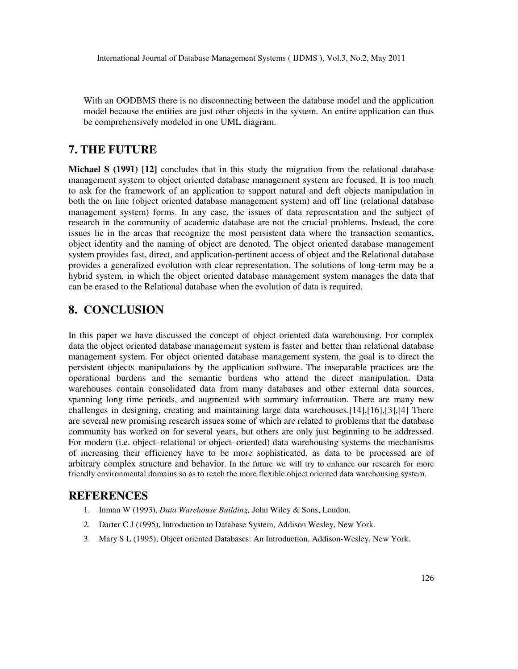With an OODBMS there is no disconnecting between the database model and the application model because the entities are just other objects in the system. An entire application can thus be comprehensively modeled in one UML diagram.

### **7. THE FUTURE**

**Michael S (1991) [12]** concludes that in this study the migration from the relational database management system to object oriented database management system are focused. It is too much to ask for the framework of an application to support natural and deft objects manipulation in both the on line (object oriented database management system) and off line (relational database management system) forms. In any case, the issues of data representation and the subject of research in the community of academic database are not the crucial problems. Instead, the core issues lie in the areas that recognize the most persistent data where the transaction semantics, object identity and the naming of object are denoted. The object oriented database management system provides fast, direct, and application-pertinent access of object and the Relational database provides a generalized evolution with clear representation. The solutions of long-term may be a hybrid system, in which the object oriented database management system manages the data that can be erased to the Relational database when the evolution of data is required.

### **8. CONCLUSION**

In this paper we have discussed the concept of object oriented data warehousing. For complex data the object oriented database management system is faster and better than relational database management system. For object oriented database management system, the goal is to direct the persistent objects manipulations by the application software. The inseparable practices are the operational burdens and the semantic burdens who attend the direct manipulation. Data warehouses contain consolidated data from many databases and other external data sources, spanning long time periods, and augmented with summary information. There are many new challenges in designing, creating and maintaining large data warehouses.[14],[16],[3],[4] There are several new promising research issues some of which are related to problems that the database community has worked on for several years, but others are only just beginning to be addressed. For modern (i.e. object–relational or object–oriented) data warehousing systems the mechanisms of increasing their efficiency have to be more sophisticated, as data to be processed are of arbitrary complex structure and behavior. In the future we will try to enhance our research for more friendly environmental domains so as to reach the more flexible object oriented data warehousing system.

### **REFERENCES**

- 1. Inman W (1993), *Data Warehouse Building,* John Wiley & Sons, London.
- 2. Darter C J (1995), Introduction to Database System, Addison Wesley, New York.
- 3. Mary S L (1995), Object oriented Databases: An Introduction, Addison-Wesley, New York.